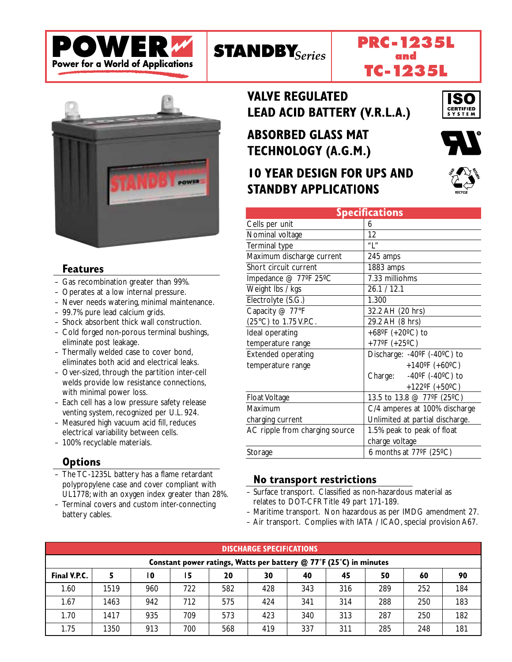







#### **Features**

- Gas recombination greater than 99%.
- Operates at a low internal pressure.
- Never needs watering, minimal maintenance.
- 99.7% pure lead calcium grids.
- Shock absorbent thick wall construction.
- Cold forged non-porous terminal bushings, eliminate post leakage.
- Thermally welded case to cover bond, eliminates both acid and electrical leaks.
- Over-sized, through the partition inter-cell welds provide low resistance connections, with minimal power loss.
- Each cell has a low pressure safety release venting system, recognized per U.L. 924.
- Measured high vacuum acid fill, reduces electrical variability between cells.
- 100% recyclable materials.

### **Options**

- The TC-1235L battery has a flame retardant polypropylene case and cover compliant with UL1778; with an oxygen index greater than 28%.
- Terminal covers and custom inter-connecting battery cables.

**VALVE REGULATED LEAD ACID BATTERY (V.R.L.A.)** 

**ABSORBED GLASS MAT TECHNOLOGY (A.G.M.)** 

# **10 YEAR DESIGN FOR UPS AND STANDBY APPLICATIONS**



ISO **CERTIFIED**<br>S Y S T E M



| <b>Specifications</b>          |                                               |  |  |  |  |  |  |
|--------------------------------|-----------------------------------------------|--|--|--|--|--|--|
| Cells per unit                 | 6                                             |  |  |  |  |  |  |
| Nominal voltage                | 12                                            |  |  |  |  |  |  |
| Terminal type                  | $^{\prime\prime}$   $^{\prime\prime}$         |  |  |  |  |  |  |
| Maximum discharge current      | 245 amps                                      |  |  |  |  |  |  |
| Short circuit current          | 1883 amps                                     |  |  |  |  |  |  |
| Impedance @ 77°F 25°C          | 7.33 milliohms                                |  |  |  |  |  |  |
| Weight lbs / kgs               | 26.1 / 12.1                                   |  |  |  |  |  |  |
| Electrolyte (S.G.)             | 1.300                                         |  |  |  |  |  |  |
| Capacity @ 77°F                | 32.2 AH (20 hrs)                              |  |  |  |  |  |  |
| (25°C) to 1.75 V.P.C.          | 29.2 AH (8 hrs)                               |  |  |  |  |  |  |
| Ideal operating                | +68°F (+20°C) to                              |  |  |  |  |  |  |
| temperature range              | +77°F $(+25$ °C)                              |  |  |  |  |  |  |
| <b>Extended operating</b>      | Discharge: -40°F (-40°C) to                   |  |  |  |  |  |  |
| temperature range              | +140°F (+60°C)                                |  |  |  |  |  |  |
|                                | Charge: $-40^{\circ}$ F (-40 $^{\circ}$ C) to |  |  |  |  |  |  |
|                                | +122°F (+50°C)                                |  |  |  |  |  |  |
| <b>Float Voltage</b>           | 13.5 to 13.8 @ 77°F (25°C)                    |  |  |  |  |  |  |
| Maximum                        | C/4 amperes at 100% discharge                 |  |  |  |  |  |  |
| charging current               | Unlimited at partial discharge.               |  |  |  |  |  |  |
| AC ripple from charging source | 1.5% peak to peak of float                    |  |  |  |  |  |  |
|                                | charge voltage                                |  |  |  |  |  |  |
| Storage                        | 6 months at $77^{\circ}F$ (25 $^{\circ}C$ )   |  |  |  |  |  |  |

#### No transport restrictions

- Surface transport. Classified as non-hazardous material as relates to DOT-CFR Title 49 part 171-189.
- Maritime transport. Non hazardous as per IMDG amendment 27.
- Air transport. Complies with IATA / ICAO, special provision A67.

| <b>DISCHARGE SPECIFICATIONS</b>                                      |      |     |     |     |     |     |     |     |     |     |
|----------------------------------------------------------------------|------|-----|-----|-----|-----|-----|-----|-----|-----|-----|
| Constant power ratings, Watts per battery $@$ 77°F (25°C) in minutes |      |     |     |     |     |     |     |     |     |     |
| Final V.P.C.                                                         |      | 10  | 15  | 20  | 30  | 40  | 45  | 50  | 60  | 90  |
| 1.60                                                                 | 1519 | 960 | 722 | 582 | 428 | 343 | 316 | 289 | 252 | 184 |
| 1.67                                                                 | 1463 | 942 | 712 | 575 | 424 | 341 | 314 | 288 | 250 | 183 |
| 1.70                                                                 | 1417 | 935 | 709 | 573 | 423 | 340 | 313 | 287 | 250 | 182 |
| 1.75                                                                 | 1350 | 913 | 700 | 568 | 419 | 337 | 311 | 285 | 248 | 181 |